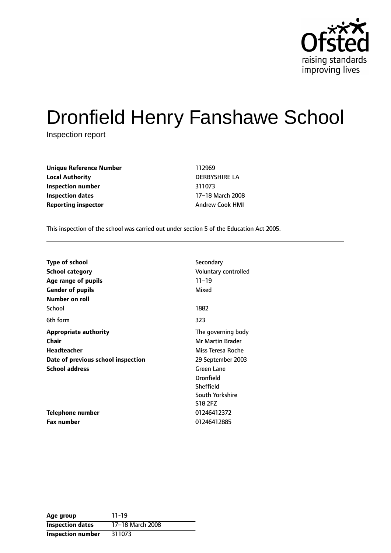

# Dronfield Henry Fanshawe School

Inspection report

**Unique Reference Number** 112969 **Local Authority** DERBYSHIRE LA **Inspection number** 311073 **Inspection dates** 17-18 March 2008 **Reporting inspector** Andrew Cook HMI

This inspection of the school was carried out under section 5 of the Education Act 2005.

| <b>Type of school</b>               | Secondary               |
|-------------------------------------|-------------------------|
| <b>School category</b>              | Voluntary controlled    |
| Age range of pupils                 | $11 - 19$               |
| <b>Gender of pupils</b>             | Mixed                   |
| Number on roll                      |                         |
| School                              | 1882                    |
| 6th form                            | 323                     |
| <b>Appropriate authority</b>        | The governing body      |
| Chair                               | <b>Mr Martin Brader</b> |
| <b>Headteacher</b>                  | Miss Teresa Roche       |
| Date of previous school inspection  | 29 September 2003       |
| <b>School address</b><br>Green Lane |                         |
|                                     | <b>Dronfield</b>        |
|                                     | Sheffield               |
|                                     | South Yorkshire         |
|                                     | S18 2FZ                 |
| <b>Telephone number</b>             | 01246412372             |
| <b>Fax number</b>                   | 01246412885             |

| Age group                | $11 - 19$        |
|--------------------------|------------------|
| <b>Inspection dates</b>  | 17-18 March 2008 |
| <b>Inspection number</b> | 311073           |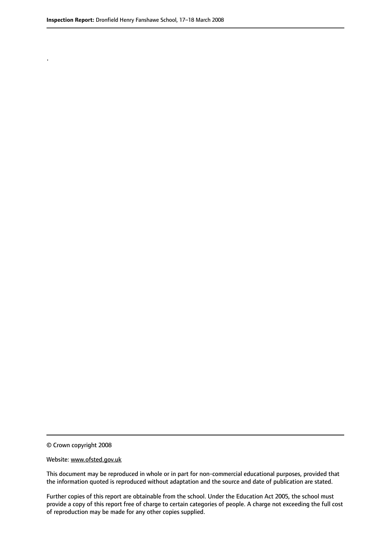.

© Crown copyright 2008

#### Website: www.ofsted.gov.uk

This document may be reproduced in whole or in part for non-commercial educational purposes, provided that the information quoted is reproduced without adaptation and the source and date of publication are stated.

Further copies of this report are obtainable from the school. Under the Education Act 2005, the school must provide a copy of this report free of charge to certain categories of people. A charge not exceeding the full cost of reproduction may be made for any other copies supplied.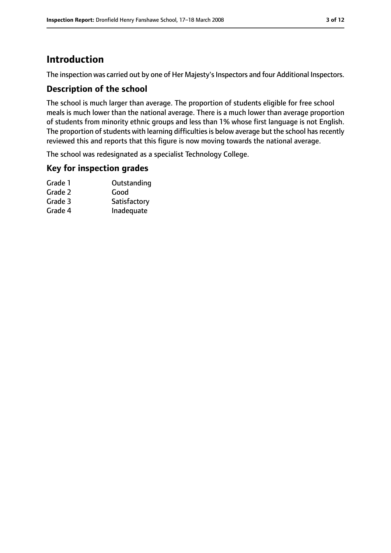# **Introduction**

The inspection was carried out by one of Her Majesty's Inspectors and four Additional Inspectors.

## **Description of the school**

The school is much larger than average. The proportion of students eligible for free school meals is much lower than the national average. There is a much lower than average proportion of students from minority ethnic groups and less than 1% whose first language is not English. The proportion of students with learning difficulties is below average but the school has recently reviewed this and reports that this figure is now moving towards the national average.

The school was redesignated as a specialist Technology College.

## **Key for inspection grades**

| Outstanding  |
|--------------|
| Good         |
| Satisfactory |
| Inadequate   |
|              |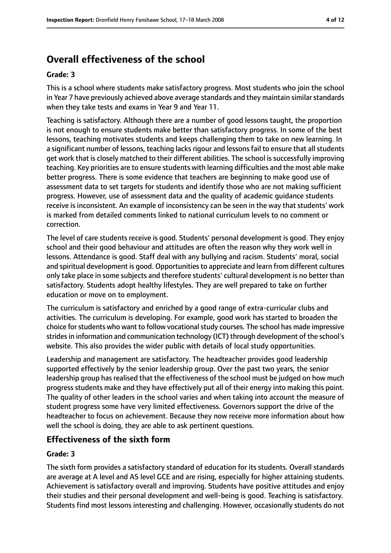# **Overall effectiveness of the school**

#### **Grade: 3**

This is a school where students make satisfactory progress. Most students who join the school in Year 7 have previously achieved above average standards and they maintain similar standards when they take tests and exams in Year 9 and Year 11.

Teaching is satisfactory. Although there are a number of good lessons taught, the proportion is not enough to ensure students make better than satisfactory progress. In some of the best lessons, teaching motivates students and keeps challenging them to take on new learning. In a significant number of lessons, teaching lacks rigour and lessons fail to ensure that all students get work that is closely matched to their different abilities. The school is successfully improving teaching. Key priorities are to ensure students with learning difficulties and the most able make better progress. There is some evidence that teachers are beginning to make good use of assessment data to set targets for students and identify those who are not making sufficient progress. However, use of assessment data and the quality of academic guidance students receive is inconsistent. An example of inconsistency can be seen in the way that students' work is marked from detailed comments linked to national curriculum levels to no comment or correction.

The level of care students receive is good. Students' personal development is good. They enjoy school and their good behaviour and attitudes are often the reason why they work well in lessons. Attendance is good. Staff deal with any bullying and racism. Students' moral, social and spiritual development is good. Opportunities to appreciate and learn from different cultures only take place in some subjects and therefore students' cultural development is no better than satisfactory. Students adopt healthy lifestyles. They are well prepared to take on further education or move on to employment.

The curriculum is satisfactory and enriched by a good range of extra-curricular clubs and activities. The curriculum is developing. For example, good work has started to broaden the choice for students who want to follow vocational study courses. The school has made impressive strides in information and communication technology (ICT) through development of the school's website. This also provides the wider public with details of local study opportunities.

Leadership and management are satisfactory. The headteacher provides good leadership supported effectively by the senior leadership group. Over the past two years, the senior leadership group has realised that the effectiveness of the school must be judged on how much progress students make and they have effectively put all of their energy into making this point. The quality of other leaders in the school varies and when taking into account the measure of student progress some have very limited effectiveness. Governors support the drive of the headteacher to focus on achievement. Because they now receive more information about how well the school is doing, they are able to ask pertinent questions.

## **Effectiveness of the sixth form**

#### **Grade: 3**

The sixth form provides a satisfactory standard of education for its students. Overall standards are average at A level and AS level GCE and are rising, especially for higher attaining students. Achievement is satisfactory overall and improving. Students have positive attitudes and enjoy their studies and their personal development and well-being is good. Teaching is satisfactory. Students find most lessons interesting and challenging. However, occasionally students do not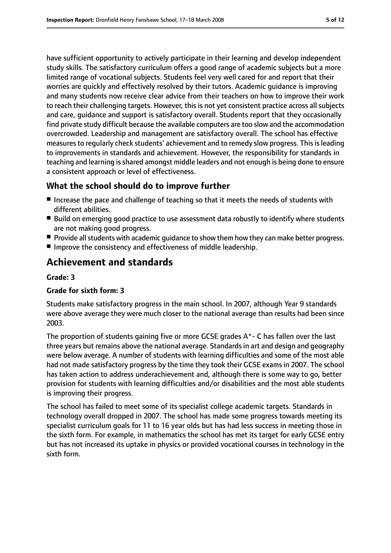have sufficient opportunity to actively participate in their learning and develop independent study skills. The satisfactory curriculum offers a good range of academic subjects but a more limited range of vocational subjects. Students feel very well cared for and report that their worries are quickly and effectively resolved by their tutors. Academic guidance is improving and many students now receive clear advice from their teachers on how to improve their work to reach their challenging targets. However, this is not yet consistent practice across all subjects and care, guidance and support is satisfactory overall. Students report that they occasionally find private study difficult because the available computers are too slow and the accommodation overcrowded. Leadership and management are satisfactory overall. The school has effective measures to regularly check students' achievement and to remedy slow progress. This is leading to improvements in standards and achievement. However, the responsibility for standards in teaching and learning isshared amongst middle leaders and not enough is being done to ensure a consistent approach or level of effectiveness.

## **What the school should do to improve further**

- Increase the pace and challenge of teaching so that it meets the needs of students with different abilities.
- Build on emerging good practice to use assessment data robustly to identify where students are not making good progress.
- Provide all students with academic quidance to show them how they can make better progress.
- Improve the consistency and effectiveness of middle leadership.

# **Achievement and standards**

#### **Grade: 3**

#### **Grade for sixth form: 3**

Students make satisfactory progress in the main school. In 2007, although Year 9 standards were above average they were much closer to the national average than results had been since 2003.

The proportion of students gaining five or more GCSE grades A\*- C has fallen over the last three years but remains above the national average. Standardsin art and design and geography were below average. A number of students with learning difficulties and some of the most able had not made satisfactory progress by the time they took their GCSE exams in 2007. The school has taken action to address underachievement and, although there is some way to go, better provision for students with learning difficulties and/or disabilities and the most able students is improving their progress.

The school has failed to meet some of its specialist college academic targets. Standards in technology overall dropped in 2007. The school has made some progress towards meeting its specialist curriculum goals for 11 to 16 year olds but has had less success in meeting those in the sixth form. For example, in mathematics the school has met its target for early GCSE entry but has not increased its uptake in physics or provided vocational courses in technology in the sixth form.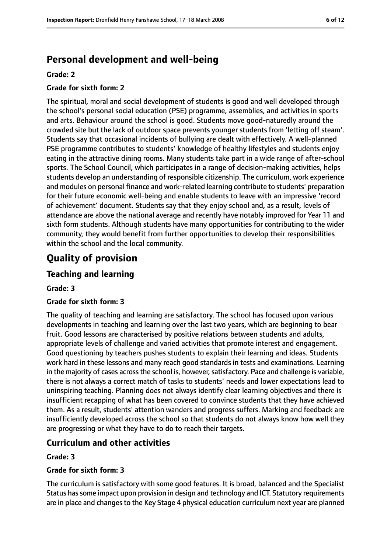# **Personal development and well-being**

#### **Grade: 2**

#### **Grade for sixth form: 2**

The spiritual, moral and social development of students is good and well developed through the school's personal social education (PSE) programme, assemblies, and activities in sports and arts. Behaviour around the school is good. Students move good-naturedly around the crowded site but the lack of outdoor space prevents younger students from 'letting off steam'. Students say that occasional incidents of bullying are dealt with effectively. A well-planned PSE programme contributes to students' knowledge of healthy lifestyles and students enjoy eating in the attractive dining rooms. Many students take part in a wide range of after-school sports. The School Council, which participates in a range of decision-making activities, helps students develop an understanding of responsible citizenship. The curriculum, work experience and modules on personal finance and work-related learning contribute to students' preparation for their future economic well-being and enable students to leave with an impressive 'record of achievement' document. Students say that they enjoy school and, as a result, levels of attendance are above the national average and recently have notably improved for Year 11 and sixth form students. Although students have many opportunities for contributing to the wider community, they would benefit from further opportunities to develop their responsibilities within the school and the local community.

# **Quality of provision**

## **Teaching and learning**

#### **Grade: 3**

#### **Grade for sixth form: 3**

The quality of teaching and learning are satisfactory. The school has focused upon various developments in teaching and learning over the last two years, which are beginning to bear fruit. Good lessons are characterised by positive relations between students and adults, appropriate levels of challenge and varied activities that promote interest and engagement. Good questioning by teachers pushes students to explain their learning and ideas. Students work hard in these lessons and many reach good standards in tests and examinations. Learning in the majority of cases across the school is, however, satisfactory. Pace and challenge is variable, there is not always a correct match of tasks to students' needs and lower expectations lead to uninspiring teaching. Planning does not always identify clear learning objectives and there is insufficient recapping of what has been covered to convince students that they have achieved them. As a result, students' attention wanders and progress suffers. Marking and feedback are insufficiently developed across the school so that students do not always know how well they are progressing or what they have to do to reach their targets.

## **Curriculum and other activities**

#### **Grade: 3**

#### **Grade for sixth form: 3**

The curriculum is satisfactory with some good features. It is broad, balanced and the Specialist Status hassome impact upon provision in design and technology and ICT. Statutory requirements are in place and changes to the Key Stage 4 physical education curriculum next year are planned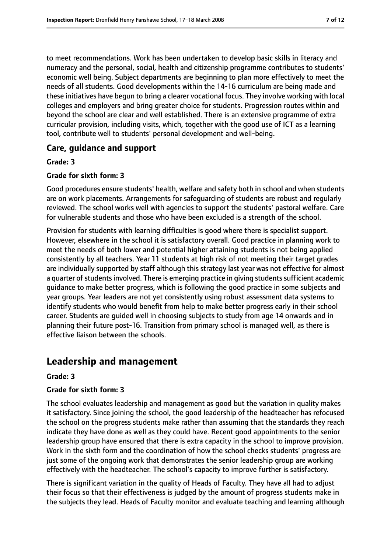to meet recommendations. Work has been undertaken to develop basic skills in literacy and numeracy and the personal, social, health and citizenship programme contributes to students' economic well being. Subject departments are beginning to plan more effectively to meet the needs of all students. Good developments within the 14-16 curriculum are being made and these initiatives have begun to bring a clearer vocational focus. They involve working with local colleges and employers and bring greater choice for students. Progression routes within and beyond the school are clear and well established. There is an extensive programme of extra curricular provision, including visits, which, together with the good use of ICT as a learning tool, contribute well to students' personal development and well-being.

## **Care, guidance and support**

#### **Grade: 3**

#### **Grade for sixth form: 3**

Good procedures ensure students' health, welfare and safety both in school and when students are on work placements. Arrangements for safeguarding of students are robust and regularly reviewed. The school works well with agencies to support the students' pastoral welfare. Care for vulnerable students and those who have been excluded is a strength of the school.

Provision for students with learning difficulties is good where there is specialist support. However, elsewhere in the school it is satisfactory overall. Good practice in planning work to meet the needs of both lower and potential higher attaining students is not being applied consistently by all teachers. Year 11 students at high risk of not meeting their target grades are individually supported by staff although this strategy last year was not effective for almost a quarter of students involved. There is emerging practice in giving students sufficient academic guidance to make better progress, which is following the good practice in some subjects and year groups. Year leaders are not yet consistently using robust assessment data systems to identify students who would benefit from help to make better progress early in their school career. Students are guided well in choosing subjects to study from age 14 onwards and in planning their future post-16. Transition from primary school is managed well, as there is effective liaison between the schools.

# **Leadership and management**

#### **Grade: 3**

#### **Grade for sixth form: 3**

The school evaluates leadership and management as good but the variation in quality makes it satisfactory. Since joining the school, the good leadership of the headteacher has refocused the school on the progress students make rather than assuming that the standards they reach indicate they have done as well as they could have. Recent good appointments to the senior leadership group have ensured that there is extra capacity in the school to improve provision. Work in the sixth form and the coordination of how the school checks students' progress are just some of the ongoing work that demonstrates the senior leadership group are working effectively with the headteacher. The school's capacity to improve further is satisfactory.

There is significant variation in the quality of Heads of Faculty. They have all had to adjust their focus so that their effectiveness is judged by the amount of progress students make in the subjects they lead. Heads of Faculty monitor and evaluate teaching and learning although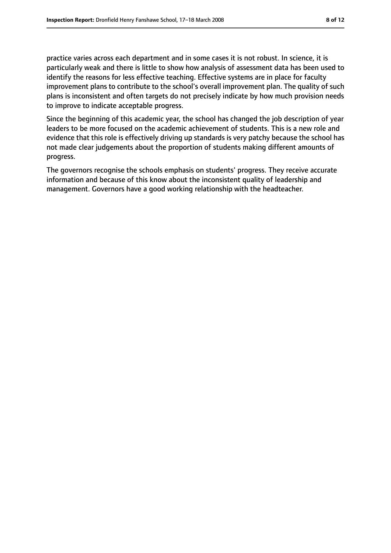practice varies across each department and in some cases it is not robust. In science, it is particularly weak and there is little to show how analysis of assessment data has been used to identify the reasons for less effective teaching. Effective systems are in place for faculty improvement plans to contribute to the school's overall improvement plan. The quality of such plans is inconsistent and often targets do not precisely indicate by how much provision needs to improve to indicate acceptable progress.

Since the beginning of this academic year, the school has changed the job description of year leaders to be more focused on the academic achievement of students. This is a new role and evidence that this role is effectively driving up standards is very patchy because the school has not made clear judgements about the proportion of students making different amounts of progress.

The governors recognise the schools emphasis on students' progress. They receive accurate information and because of this know about the inconsistent quality of leadership and management. Governors have a good working relationship with the headteacher.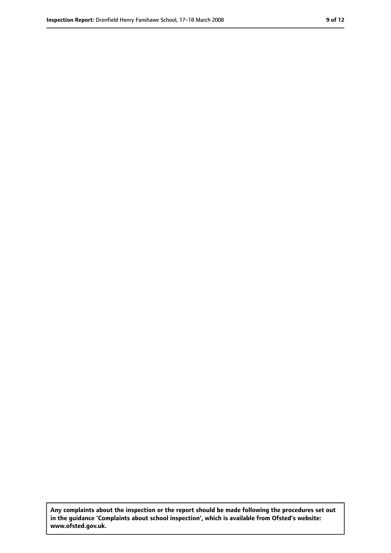**Any complaints about the inspection or the report should be made following the procedures set out in the guidance 'Complaints about school inspection', which is available from Ofsted's website: www.ofsted.gov.uk.**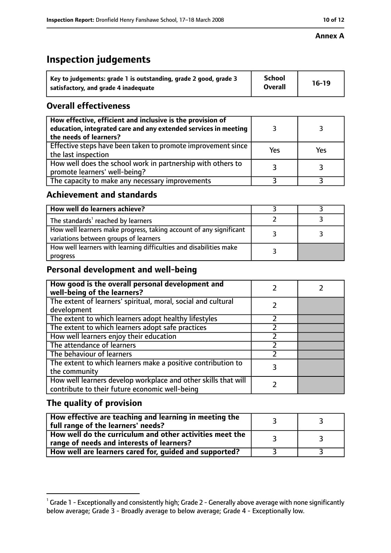#### **Annex A**

# **Inspection judgements**

| Key to judgements: grade 1 is outstanding, grade 2 good, grade 3 | School         | $16-19$ |
|------------------------------------------------------------------|----------------|---------|
| satisfactory, and grade 4 inadequate                             | <b>Overall</b> |         |

## **Overall effectiveness**

| How effective, efficient and inclusive is the provision of<br>education, integrated care and any extended services in meeting<br>the needs of learners? |     |     |
|---------------------------------------------------------------------------------------------------------------------------------------------------------|-----|-----|
| Effective steps have been taken to promote improvement since<br>the last inspection                                                                     | Yes | Yes |
| How well does the school work in partnership with others to<br>promote learners' well-being?                                                            |     |     |
| The capacity to make any necessary improvements                                                                                                         |     |     |

## **Achievement and standards**

| How well do learners achieve?                                                                               |  |
|-------------------------------------------------------------------------------------------------------------|--|
| The standards <sup>1</sup> reached by learners                                                              |  |
| How well learners make progress, taking account of any significant<br>variations between groups of learners |  |
| How well learners with learning difficulties and disabilities make<br>progress                              |  |

# **Personal development and well-being**

| How good is the overall personal development and<br>well-being of the learners?                                  |  |
|------------------------------------------------------------------------------------------------------------------|--|
| The extent of learners' spiritual, moral, social and cultural<br>development                                     |  |
| The extent to which learners adopt healthy lifestyles                                                            |  |
| The extent to which learners adopt safe practices                                                                |  |
| How well learners enjoy their education                                                                          |  |
| The attendance of learners                                                                                       |  |
| The behaviour of learners                                                                                        |  |
| The extent to which learners make a positive contribution to<br>the community                                    |  |
| How well learners develop workplace and other skills that will<br>contribute to their future economic well-being |  |

# **The quality of provision**

| How effective are teaching and learning in meeting the<br>full range of the learners' needs?          |    |
|-------------------------------------------------------------------------------------------------------|----|
| How well do the curriculum and other activities meet the<br>range of needs and interests of learners? | ્ર |
| How well are learners cared for, guided and supported?                                                |    |

 $^1$  Grade 1 - Exceptionally and consistently high; Grade 2 - Generally above average with none significantly below average; Grade 3 - Broadly average to below average; Grade 4 - Exceptionally low.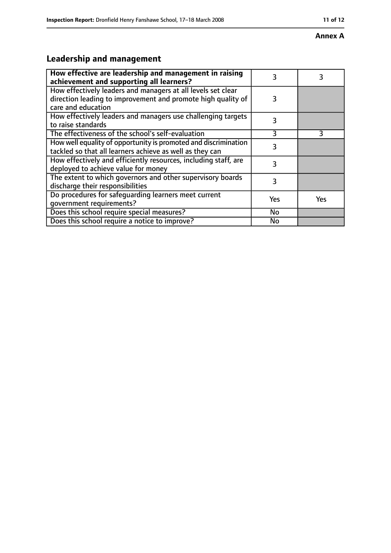#### **Annex A**

# **Leadership and management**

| How effective are leadership and management in raising<br>achievement and supporting all learners?                                                 | 3         | 3          |
|----------------------------------------------------------------------------------------------------------------------------------------------------|-----------|------------|
| How effectively leaders and managers at all levels set clear<br>direction leading to improvement and promote high quality of<br>care and education | 3         |            |
| How effectively leaders and managers use challenging targets<br>to raise standards                                                                 | 3         |            |
| The effectiveness of the school's self-evaluation                                                                                                  | 3         | 3          |
| How well equality of opportunity is promoted and discrimination<br>tackled so that all learners achieve as well as they can                        | 3         |            |
| How effectively and efficiently resources, including staff, are<br>deployed to achieve value for money                                             | 3         |            |
| The extent to which governors and other supervisory boards<br>discharge their responsibilities                                                     | 3         |            |
| Do procedures for safeguarding learners meet current<br>qovernment requirements?                                                                   | Yes       | <b>Yes</b> |
| Does this school require special measures?                                                                                                         | No        |            |
| Does this school require a notice to improve?                                                                                                      | <b>No</b> |            |